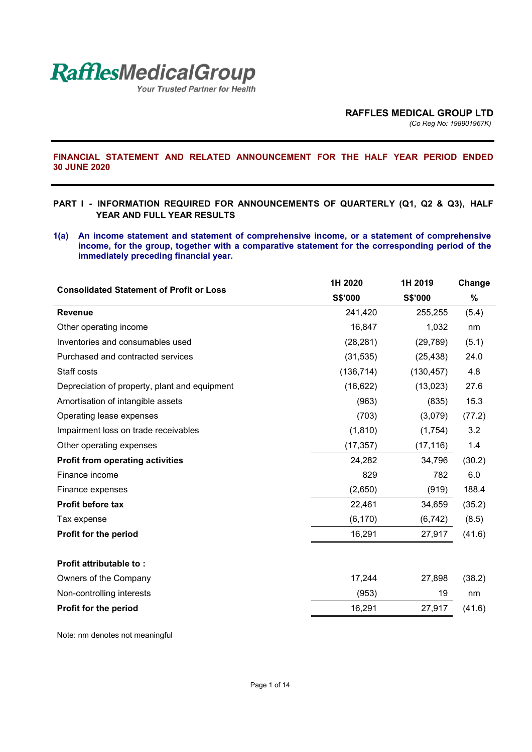

Your Trusted Partner for Health

**FINANCIAL STATEMENT AND RELATED ANNOUNCEMENT FOR THE HALF YEAR PERIOD ENDED 30 JUNE 2020** 

#### **PART I - INFORMATION REQUIRED FOR ANNOUNCEMENTS OF QUARTERLY (Q1, Q2 & Q3), HALF YEAR AND FULL YEAR RESULTS**

**1(a) An income statement and statement of comprehensive income, or a statement of comprehensive income, for the group, together with a comparative statement for the corresponding period of the immediately preceding financial year.** 

| <b>Consolidated Statement of Profit or Loss</b> | 1H 2020    | 1H 2019    | Change |
|-------------------------------------------------|------------|------------|--------|
|                                                 | S\$'000    | S\$'000    | $\%$   |
| <b>Revenue</b>                                  | 241,420    | 255,255    | (5.4)  |
| Other operating income                          | 16,847     | 1,032      | nm     |
| Inventories and consumables used                | (28, 281)  | (29, 789)  | (5.1)  |
| Purchased and contracted services               | (31, 535)  | (25, 438)  | 24.0   |
| Staff costs                                     | (136, 714) | (130, 457) | 4.8    |
| Depreciation of property, plant and equipment   | (16, 622)  | (13,023)   | 27.6   |
| Amortisation of intangible assets               | (963)      | (835)      | 15.3   |
| Operating lease expenses                        | (703)      | (3,079)    | (77.2) |
| Impairment loss on trade receivables            | (1, 810)   | (1,754)    | 3.2    |
| Other operating expenses                        | (17, 357)  | (17, 116)  | 1.4    |
| <b>Profit from operating activities</b>         | 24,282     | 34,796     | (30.2) |
| Finance income                                  | 829        | 782        | 6.0    |
| Finance expenses                                | (2,650)    | (919)      | 188.4  |
| <b>Profit before tax</b>                        | 22,461     | 34,659     | (35.2) |
| Tax expense                                     | (6, 170)   | (6, 742)   | (8.5)  |
| Profit for the period                           | 16,291     | 27,917     | (41.6) |
| Profit attributable to:                         |            |            |        |
| Owners of the Company                           | 17,244     | 27,898     | (38.2) |
| Non-controlling interests                       | (953)      | 19         | nm     |
| Profit for the period                           | 16,291     | 27,917     | (41.6) |
|                                                 |            |            |        |

Note: nm denotes not meaningful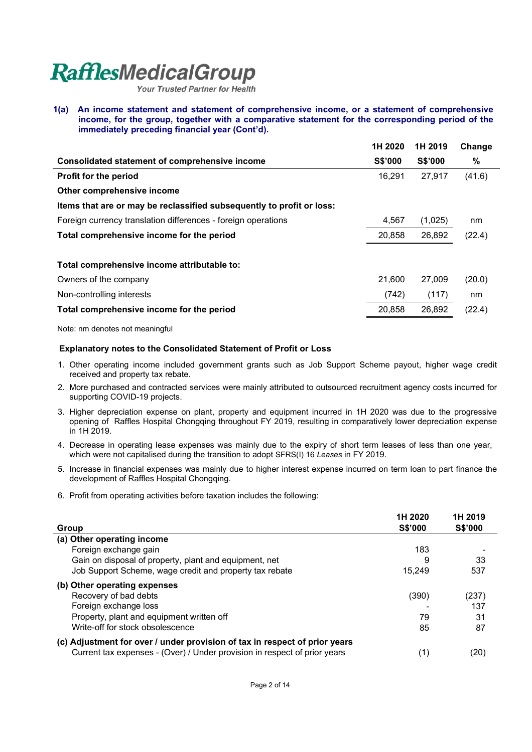Your Trusted Partner for Health

**1(a) An income statement and statement of comprehensive income, or a statement of comprehensive income, for the group, together with a comparative statement for the corresponding period of the immediately preceding financial year (Cont'd).** 

|                                                                       | 1H 2020        | 1H 2019        | Change |
|-----------------------------------------------------------------------|----------------|----------------|--------|
| <b>Consolidated statement of comprehensive income</b>                 | <b>S\$'000</b> | <b>S\$'000</b> | $\%$   |
| <b>Profit for the period</b>                                          | 16,291         | 27.917         | (41.6) |
| Other comprehensive income                                            |                |                |        |
| Items that are or may be reclassified subsequently to profit or loss: |                |                |        |
| Foreign currency translation differences - foreign operations         | 4,567          | (1,025)        | nm     |
| Total comprehensive income for the period                             | 20,858         | 26,892         | (22.4) |
|                                                                       |                |                |        |
| Total comprehensive income attributable to:                           |                |                |        |
| Owners of the company                                                 | 21.600         | 27,009         | (20.0) |
| Non-controlling interests                                             | (742)          | (117)          | nm     |
| Total comprehensive income for the period                             | 20,858         | 26,892         | (22.4) |
|                                                                       |                |                |        |

Note: nm denotes not meaningful

#### **Explanatory notes to the Consolidated Statement of Profit or Loss**

- 1. Other operating income included government grants such as Job Support Scheme payout, higher wage credit received and property tax rebate.
- 2. More purchased and contracted services were mainly attributed to outsourced recruitment agency costs incurred for supporting COVID-19 projects.
- 3. Higher depreciation expense on plant, property and equipment incurred in 1H 2020 was due to the progressive opening of Raffles Hospital Chongqing throughout FY 2019, resulting in comparatively lower depreciation expense in 1H 2019.
- 4. Decrease in operating lease expenses was mainly due to the expiry of short term leases of less than one year, which were not capitalised during the transition to adopt SFRS(I) 16 *Leases* in FY 2019.
- 5. Increase in financial expenses was mainly due to higher interest expense incurred on term loan to part finance the development of Raffles Hospital Chongqing.
- 6. Profit from operating activities before taxation includes the following:

|                                                                            | 1H 2020 | 1H 2019        |
|----------------------------------------------------------------------------|---------|----------------|
| Group                                                                      | S\$'000 | <b>S\$'000</b> |
| (a) Other operating income                                                 |         |                |
| Foreign exchange gain                                                      | 183     |                |
| Gain on disposal of property, plant and equipment, net                     | 9       | 33             |
| Job Support Scheme, wage credit and property tax rebate                    | 15.249  | 537            |
| (b) Other operating expenses                                               |         |                |
| Recovery of bad debts                                                      | (390)   | (237)          |
| Foreign exchange loss                                                      |         | 137            |
| Property, plant and equipment written off                                  | 79      | 31             |
| Write-off for stock obsolescence                                           | 85      | 87             |
| (c) Adjustment for over / under provision of tax in respect of prior years |         |                |
| Current tax expenses - (Over) / Under provision in respect of prior years  | (1)     | (20)           |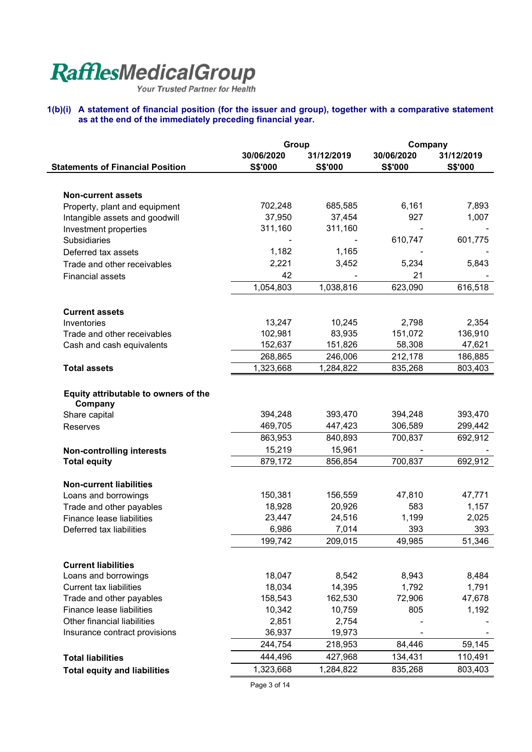#### **1(b)(i) A statement of financial position (for the issuer and group), together with a comparative statement as at the end of the immediately preceding financial year.**

|                                                 | Group          |                | Company        |                |
|-------------------------------------------------|----------------|----------------|----------------|----------------|
|                                                 | 30/06/2020     | 31/12/2019     | 30/06/2020     | 31/12/2019     |
| <b>Statements of Financial Position</b>         | <b>S\$'000</b> | <b>S\$'000</b> | <b>S\$'000</b> | <b>S\$'000</b> |
|                                                 |                |                |                |                |
| <b>Non-current assets</b>                       |                |                |                |                |
| Property, plant and equipment                   | 702,248        | 685,585        | 6,161          | 7,893          |
| Intangible assets and goodwill                  | 37,950         | 37,454         | 927            | 1,007          |
| Investment properties                           | 311,160        | 311,160        |                |                |
| Subsidiaries                                    |                |                | 610,747        | 601,775        |
| Deferred tax assets                             | 1,182          | 1,165          |                |                |
| Trade and other receivables                     | 2,221          | 3,452          | 5,234          | 5,843          |
| <b>Financial assets</b>                         | 42             |                | 21             |                |
|                                                 | 1,054,803      | 1,038,816      | 623,090        | 616,518        |
| <b>Current assets</b>                           |                |                |                |                |
| Inventories                                     | 13,247         | 10,245         | 2,798          | 2,354          |
| Trade and other receivables                     | 102,981        | 83,935         | 151,072        | 136,910        |
| Cash and cash equivalents                       | 152,637        | 151,826        | 58,308         | 47,621         |
|                                                 | 268,865        | 246,006        | 212,178        | 186,885        |
| <b>Total assets</b>                             | 1,323,668      | 1,284,822      | 835,268        | 803,403        |
|                                                 |                |                |                |                |
| Equity attributable to owners of the<br>Company |                |                |                |                |
| Share capital                                   | 394,248        | 393,470        | 394,248        | 393,470        |
| <b>Reserves</b>                                 | 469,705        | 447,423        | 306,589        | 299,442        |
|                                                 | 863,953        | 840,893        | 700,837        | 692,912        |
| <b>Non-controlling interests</b>                | 15,219         | 15,961         |                |                |
| <b>Total equity</b>                             | 879,172        | 856,854        | 700,837        | 692,912        |
|                                                 |                |                |                |                |
| <b>Non-current liabilities</b>                  |                |                |                |                |
| Loans and borrowings                            | 150,381        | 156,559        | 47,810         | 47,771         |
| Trade and other payables                        | 18,928         | 20,926         | 583            | 1,157          |
| <b>Finance lease liabilities</b>                | 23,447         | 24,516         | 1,199          | 2,025          |
| Deferred tax liabilities                        | 6,986          | 7,014          | 393            | 393            |
|                                                 | 199,742        | 209,015        | 49,985         | 51,346         |
| <b>Current liabilities</b>                      |                |                |                |                |
| Loans and borrowings                            | 18,047         | 8,542          | 8,943          | 8,484          |
| <b>Current tax liabilities</b>                  | 18,034         | 14,395         | 1,792          | 1,791          |
| Trade and other payables                        | 158,543        | 162,530        | 72,906         | 47,678         |
| Finance lease liabilities                       | 10,342         | 10,759         | 805            | 1,192          |
| Other financial liabilities                     | 2,851          | 2,754          |                |                |
| Insurance contract provisions                   | 36,937         | 19,973         |                |                |
|                                                 | 244,754        | 218,953        | 84,446         | 59,145         |
| <b>Total liabilities</b>                        | 444,496        | 427,968        | 134,431        | 110,491        |
| <b>Total equity and liabilities</b>             | 1,323,668      | 1,284,822      | 835,268        | 803,403        |
|                                                 |                |                |                |                |

Page 3 of 14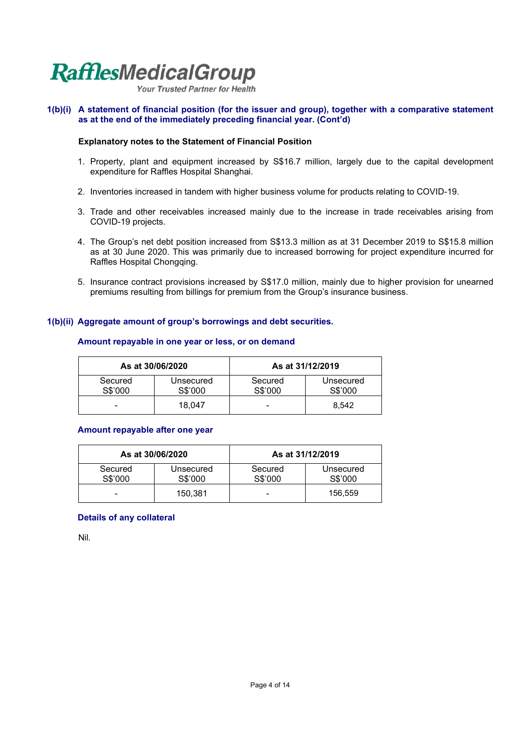Your Trusted Partner for Health

#### **1(b)(i) A statement of financial position (for the issuer and group), together with a comparative statement as at the end of the immediately preceding financial year. (Cont'd)**

#### **Explanatory notes to the Statement of Financial Position**

- 1. Property, plant and equipment increased by S\$16.7 million, largely due to the capital development expenditure for Raffles Hospital Shanghai.
- 2. Inventories increased in tandem with higher business volume for products relating to COVID-19.
- 3. Trade and other receivables increased mainly due to the increase in trade receivables arising from COVID-19 projects.
- 4. The Group's net debt position increased from S\$13.3 million as at 31 December 2019 to S\$15.8 million as at 30 June 2020. This was primarily due to increased borrowing for project expenditure incurred for Raffles Hospital Chongqing.
- 5. Insurance contract provisions increased by S\$17.0 million, mainly due to higher provision for unearned premiums resulting from billings for premium from the Group's insurance business.

#### **1(b)(ii) Aggregate amount of group's borrowings and debt securities.**

|                    | As at 30/06/2020     |                          | As at 31/12/2019     |
|--------------------|----------------------|--------------------------|----------------------|
| Secured<br>S\$'000 | Unsecured<br>S\$'000 | Secured<br>S\$'000       | Unsecured<br>S\$'000 |
| -                  | 18.047               | $\overline{\phantom{0}}$ | 8.542                |

#### **Amount repayable in one year or less, or on demand**

#### **Amount repayable after one year**

|                    | As at 30/06/2020     |                    | As at 31/12/2019     |
|--------------------|----------------------|--------------------|----------------------|
| Secured<br>S\$'000 | Unsecured<br>S\$'000 | Secured<br>S\$'000 | Unsecured<br>S\$'000 |
| -                  | 150.381              | -                  | 156.559              |

#### **Details of any collateral**

Nil.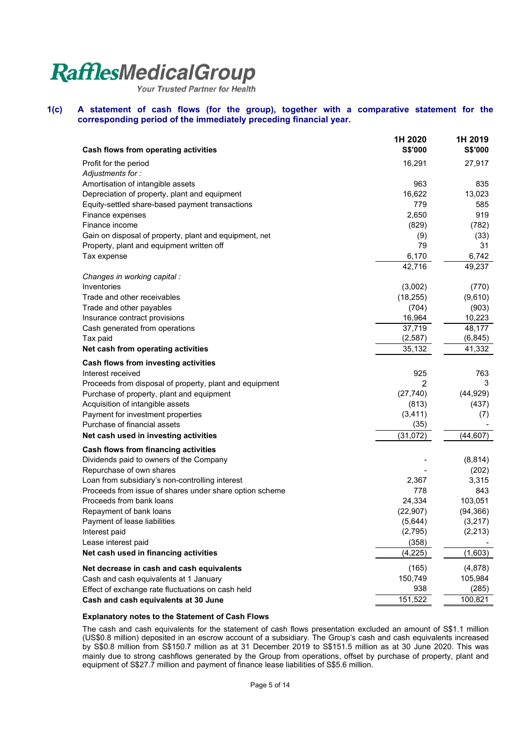Your Trusted Partner for Health

#### **1(c) A statement of cash flows (for the group), together with a comparative statement for the corresponding period of the immediately preceding financial year.**

| Cash flows from operating activities                                                | 1H 2020<br><b>S\$'000</b> | 1H 2019<br><b>S\$'000</b> |
|-------------------------------------------------------------------------------------|---------------------------|---------------------------|
| Profit for the period                                                               | 16,291                    | 27,917                    |
| Adjustments for:                                                                    |                           |                           |
| Amortisation of intangible assets                                                   | 963                       | 835                       |
| Depreciation of property, plant and equipment                                       | 16,622                    | 13,023                    |
| Equity-settled share-based payment transactions                                     | 779                       | 585                       |
| Finance expenses                                                                    | 2,650                     | 919                       |
| Finance income                                                                      | (829)                     | (782)                     |
| Gain on disposal of property, plant and equipment, net                              | (9)                       | (33)                      |
| Property, plant and equipment written off                                           | 79                        | 31                        |
| Tax expense                                                                         | 6,170                     | 6,742                     |
|                                                                                     | 42,716                    | 49,237                    |
| Changes in working capital :                                                        |                           |                           |
| Inventories                                                                         | (3,002)                   | (770)                     |
| Trade and other receivables                                                         | (18, 255)                 | (9,610)                   |
| Trade and other payables                                                            | (704)                     | (903)                     |
| Insurance contract provisions                                                       | 16,964                    | 10,223                    |
| Cash generated from operations                                                      | 37,719                    | 48,177                    |
| Tax paid                                                                            | (2, 587)                  | (6, 845)                  |
| Net cash from operating activities                                                  | 35,132                    | 41,332                    |
| Cash flows from investing activities                                                |                           |                           |
| Interest received                                                                   | 925                       | 763                       |
| Proceeds from disposal of property, plant and equipment                             | 2                         | 3                         |
| Purchase of property, plant and equipment                                           | (27, 740)                 | (44, 929)                 |
| Acquisition of intangible assets                                                    | (813)                     | (437)                     |
| Payment for investment properties                                                   | (3, 411)                  | (7)                       |
| Purchase of financial assets                                                        | (35)                      |                           |
| Net cash used in investing activities                                               | (31, 072)                 | (44, 607)                 |
| Cash flows from financing activities                                                |                           |                           |
| Dividends paid to owners of the Company                                             |                           | (8, 814)                  |
| Repurchase of own shares                                                            |                           | (202)                     |
| Loan from subsidiary's non-controlling interest                                     | 2,367<br>778              | 3,315<br>843              |
| Proceeds from issue of shares under share option scheme<br>Proceeds from bank loans | 24,334                    | 103,051                   |
| Repayment of bank loans                                                             | (22, 907)                 | (94, 366)                 |
| Payment of lease liabilities                                                        | (5,644)                   | (3,217)                   |
| Interest paid                                                                       | (2,795)                   | (2, 213)                  |
| Lease interest paid                                                                 | (358)                     |                           |
| Net cash used in financing activities                                               | (4,225)                   | (1,603)                   |
| Net decrease in cash and cash equivalents                                           | (165)                     | (4,878)                   |
| Cash and cash equivalents at 1 January                                              | 150,749                   | 105,984                   |
| Effect of exchange rate fluctuations on cash held                                   | 938                       | (285)                     |
| Cash and cash equivalents at 30 June                                                | 151,522                   | 100,821                   |

#### **Explanatory notes to the Statement of Cash Flows**

The cash and cash equivalents for the statement of cash flows presentation excluded an amount of S\$1.1 million (US\$0.8 million) deposited in an escrow account of a subsidiary. The Group's cash and cash equivalents increased by S\$0.8 million from S\$150.7 million as at 31 December 2019 to S\$151.5 million as at 30 June 2020. This was mainly due to strong cashflows generated by the Group from operations, offset by purchase of property, plant and equipment of S\$27.7 million and payment of finance lease liabilities of S\$5.6 million.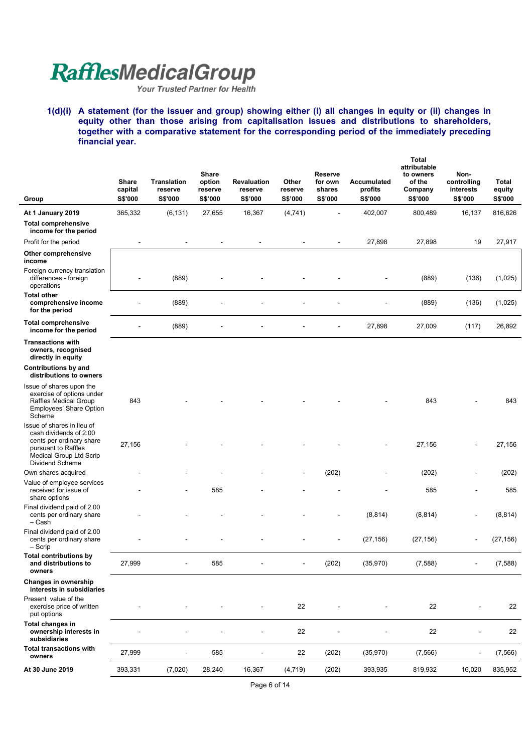**1(d)(i) A statement (for the issuer and group) showing either (i) all changes in equity or (ii) changes in equity other than those arising from capitalisation issues and distributions to shareholders, together with a comparative statement for the corresponding period of the immediately preceding financial year.** 

| Group                                                                                                                                                        | <b>Share</b><br>capital<br>S\$'000 | <b>Translation</b><br>reserve<br>S\$'000 | <b>Share</b><br>option<br>reserve<br>S\$'000 | <b>Revaluation</b><br>reserve<br>S\$'000 | Other<br>reserve<br>S\$'000 | <b>Reserve</b><br>for own<br>shares<br>S\$'000 | Accumulated<br>profits<br>S\$'000 | <b>Total</b><br>attributable<br>to owners<br>of the<br>Company<br>S\$'000 | Non-<br>controlling<br>interests<br>S\$'000 | <b>Total</b><br>equity<br>S\$'000 |
|--------------------------------------------------------------------------------------------------------------------------------------------------------------|------------------------------------|------------------------------------------|----------------------------------------------|------------------------------------------|-----------------------------|------------------------------------------------|-----------------------------------|---------------------------------------------------------------------------|---------------------------------------------|-----------------------------------|
| At 1 January 2019                                                                                                                                            | 365,332                            | (6, 131)                                 | 27,655                                       | 16,367                                   | (4,741)                     |                                                | 402,007                           | 800,489                                                                   | 16,137                                      | 816,626                           |
| <b>Total comprehensive</b><br>income for the period                                                                                                          |                                    |                                          |                                              |                                          |                             |                                                |                                   |                                                                           |                                             |                                   |
| Profit for the period                                                                                                                                        |                                    |                                          |                                              |                                          |                             | L,                                             | 27,898                            | 27,898                                                                    | 19                                          | 27,917                            |
| Other comprehensive<br>income                                                                                                                                |                                    |                                          |                                              |                                          |                             |                                                |                                   |                                                                           |                                             |                                   |
| Foreign currency translation<br>differences - foreign<br>operations                                                                                          |                                    | (889)                                    |                                              |                                          |                             |                                                |                                   | (889)                                                                     | (136)                                       | (1,025)                           |
| <b>Total other</b><br>comprehensive income<br>for the period                                                                                                 |                                    | (889)                                    |                                              |                                          |                             |                                                |                                   | (889)                                                                     | (136)                                       | (1,025)                           |
| <b>Total comprehensive</b><br>income for the period                                                                                                          |                                    | (889)                                    |                                              |                                          |                             |                                                | 27,898                            | 27,009                                                                    | (117)                                       | 26,892                            |
| <b>Transactions with</b><br>owners, recognised<br>directly in equity                                                                                         |                                    |                                          |                                              |                                          |                             |                                                |                                   |                                                                           |                                             |                                   |
| <b>Contributions by and</b><br>distributions to owners                                                                                                       |                                    |                                          |                                              |                                          |                             |                                                |                                   |                                                                           |                                             |                                   |
| Issue of shares upon the<br>exercise of options under<br>Raffles Medical Group<br>Employees' Share Option<br>Scheme                                          | 843                                |                                          |                                              |                                          |                             |                                                |                                   | 843                                                                       |                                             | 843                               |
| Issue of shares in lieu of<br>cash dividends of 2.00<br>cents per ordinary share<br>pursuant to Raffles<br>Medical Group Ltd Scrip<br><b>Dividend Scheme</b> | 27,156                             |                                          |                                              |                                          |                             |                                                |                                   | 27,156                                                                    |                                             | 27,156                            |
| Own shares acquired                                                                                                                                          |                                    |                                          |                                              |                                          |                             | (202)                                          |                                   | (202)                                                                     | $\overline{\phantom{0}}$                    | (202)                             |
| Value of employee services<br>received for issue of<br>share options                                                                                         |                                    |                                          | 585                                          |                                          |                             |                                                |                                   | 585                                                                       | ۰                                           | 585                               |
| Final dividend paid of 2.00<br>cents per ordinary share<br>– Cash                                                                                            |                                    |                                          |                                              |                                          |                             |                                                | (8, 814)                          | (8, 814)                                                                  | $\overline{a}$                              | (8, 814)                          |
| Final dividend paid of 2.00<br>cents per ordinary share<br>$-$ Scrip                                                                                         |                                    |                                          |                                              |                                          |                             |                                                | (27, 156)                         | (27, 156)                                                                 |                                             | (27, 156)                         |
| Total contributions by<br>and distributions to<br>owners                                                                                                     | 27,999                             |                                          | 585                                          |                                          | $\blacksquare$              | (202)                                          | (35,970)                          | (7,588)                                                                   |                                             | (7, 588)                          |
| Changes in ownership<br>interests in subsidiaries                                                                                                            |                                    |                                          |                                              |                                          |                             |                                                |                                   |                                                                           |                                             |                                   |
| Present value of the<br>exercise price of written<br>put options                                                                                             |                                    |                                          |                                              |                                          | 22                          |                                                |                                   | 22                                                                        | $\overline{a}$                              | 22                                |
| Total changes in<br>ownership interests in<br>subsidiaries                                                                                                   |                                    |                                          |                                              |                                          | 22                          |                                                |                                   | 22                                                                        |                                             | 22                                |
| <b>Total transactions with</b><br>owners                                                                                                                     | 27,999                             | ä,                                       | 585                                          | $\overline{\phantom{a}}$                 | 22                          | (202)                                          | (35,970)                          | (7, 566)                                                                  | ÷,                                          | (7, 566)                          |
| At 30 June 2019                                                                                                                                              | 393,331                            | (7,020)                                  | 28,240                                       | 16,367                                   | (4, 719)                    | (202)                                          | 393,935                           | 819,932                                                                   | 16,020                                      | 835,952                           |

Page 6 of 14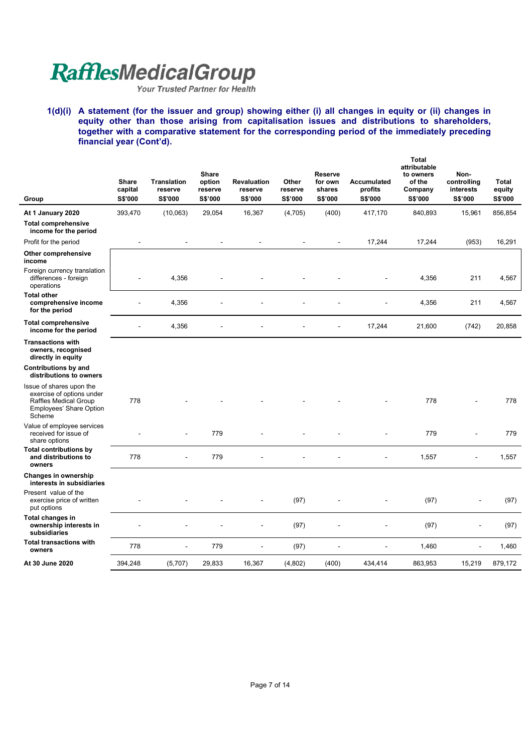**1(d)(i) A statement (for the issuer and group) showing either (i) all changes in equity or (ii) changes in equity other than those arising from capitalisation issues and distributions to shareholders, together with a comparative statement for the corresponding period of the immediately preceding financial year (Cont'd).** 

| Group                                                                                                                      | <b>Share</b><br>capital<br><b>S\$'000</b> | <b>Translation</b><br>reserve<br>S\$'000 | <b>Share</b><br>option<br>reserve<br>S\$'000 | <b>Revaluation</b><br>reserve<br>S\$'000 | Other<br>reserve<br>S\$'000 | <b>Reserve</b><br>for own<br>shares<br>S\$'000 | Accumulated<br>profits<br><b>S\$'000</b> | <b>Total</b><br>attributable<br>to owners<br>of the<br>Company<br>S\$'000 | Non-<br>controlling<br>interests<br>S\$'000 | <b>Total</b><br>equity<br><b>S\$'000</b> |
|----------------------------------------------------------------------------------------------------------------------------|-------------------------------------------|------------------------------------------|----------------------------------------------|------------------------------------------|-----------------------------|------------------------------------------------|------------------------------------------|---------------------------------------------------------------------------|---------------------------------------------|------------------------------------------|
| At 1 January 2020                                                                                                          | 393,470                                   | (10,063)                                 | 29,054                                       | 16,367                                   | (4,705)                     | (400)                                          | 417,170                                  | 840,893                                                                   | 15,961                                      | 856,854                                  |
| <b>Total comprehensive</b><br>income for the period                                                                        |                                           |                                          |                                              |                                          |                             |                                                |                                          |                                                                           |                                             |                                          |
| Profit for the period                                                                                                      | $\blacksquare$                            |                                          | $\ddot{\phantom{a}}$                         | $\overline{a}$                           |                             | $\blacksquare$                                 | 17,244                                   | 17,244                                                                    | (953)                                       | 16,291                                   |
| Other comprehensive<br>income                                                                                              |                                           |                                          |                                              |                                          |                             |                                                |                                          |                                                                           |                                             |                                          |
| Foreign currency translation<br>differences - foreign<br>operations                                                        |                                           | 4,356                                    |                                              |                                          |                             |                                                |                                          | 4,356                                                                     | 211                                         | 4,567                                    |
| <b>Total other</b><br>comprehensive income<br>for the period                                                               |                                           | 4,356                                    |                                              |                                          |                             |                                                |                                          | 4,356                                                                     | 211                                         | 4,567                                    |
| <b>Total comprehensive</b><br>income for the period                                                                        |                                           | 4,356                                    |                                              |                                          |                             |                                                | 17,244                                   | 21,600                                                                    | (742)                                       | 20,858                                   |
| <b>Transactions with</b><br>owners, recognised<br>directly in equity                                                       |                                           |                                          |                                              |                                          |                             |                                                |                                          |                                                                           |                                             |                                          |
| Contributions by and<br>distributions to owners                                                                            |                                           |                                          |                                              |                                          |                             |                                                |                                          |                                                                           |                                             |                                          |
| Issue of shares upon the<br>exercise of options under<br><b>Raffles Medical Group</b><br>Employees' Share Option<br>Scheme | 778                                       |                                          |                                              |                                          |                             |                                                |                                          | 778                                                                       |                                             | 778                                      |
| Value of employee services<br>received for issue of<br>share options                                                       |                                           |                                          | 779                                          |                                          |                             |                                                |                                          | 779                                                                       |                                             | 779                                      |
| <b>Total contributions by</b><br>and distributions to<br>owners                                                            | 778                                       |                                          | 779                                          |                                          |                             |                                                |                                          | 1,557                                                                     |                                             | 1,557                                    |
| Changes in ownership<br>interests in subsidiaries                                                                          |                                           |                                          |                                              |                                          |                             |                                                |                                          |                                                                           |                                             |                                          |
| Present value of the<br>exercise price of written<br>put options                                                           |                                           |                                          |                                              |                                          | (97)                        |                                                |                                          | (97)                                                                      |                                             | (97)                                     |
| Total changes in<br>ownership interests in<br>subsidiaries                                                                 |                                           |                                          |                                              |                                          | (97)                        |                                                |                                          | (97)                                                                      |                                             | (97)                                     |
| <b>Total transactions with</b><br>owners                                                                                   | 778                                       | $\overline{a}$                           | 779                                          |                                          | (97)                        |                                                | $\blacksquare$                           | 1,460                                                                     |                                             | 1,460                                    |
| At 30 June 2020                                                                                                            | 394,248                                   | (5,707)                                  | 29,833                                       | 16,367                                   | (4,802)                     | (400)                                          | 434,414                                  | 863,953                                                                   | 15,219                                      | 879,172                                  |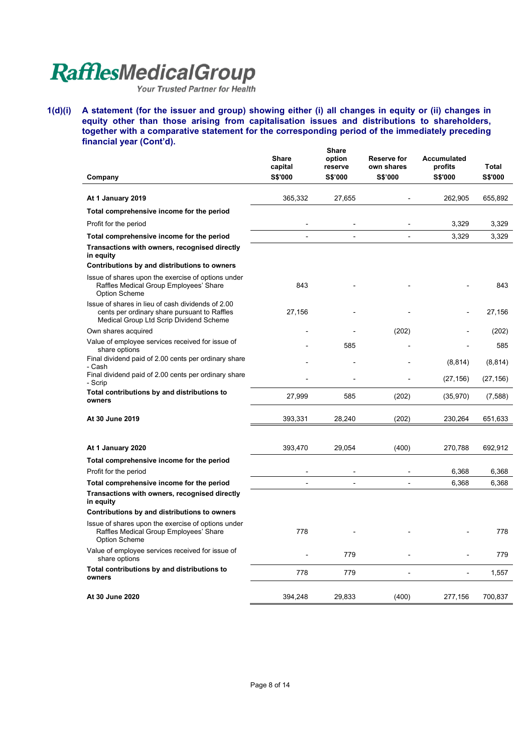**1(d)(i) A statement (for the issuer and group) showing either (i) all changes in equity or (ii) changes in equity other than those arising from capitalisation issues and distributions to shareholders, together with a comparative statement for the corresponding period of the immediately preceding financial year (Cont'd).**   $\mathbf{S}$ 

| Company                                                                                                                                      | Share<br>capital<br><b>S\$'000</b> | onare<br>option<br>reserve<br>S\$'000 | Reserve for<br>own shares<br>S\$'000 | Accumulated<br>profits<br><b>S\$'000</b> | <b>Total</b><br>S\$'000 |
|----------------------------------------------------------------------------------------------------------------------------------------------|------------------------------------|---------------------------------------|--------------------------------------|------------------------------------------|-------------------------|
|                                                                                                                                              |                                    |                                       |                                      |                                          |                         |
| At 1 January 2019                                                                                                                            | 365,332                            | 27,655                                |                                      | 262,905                                  | 655,892                 |
| Total comprehensive income for the period                                                                                                    |                                    |                                       |                                      |                                          |                         |
| Profit for the period                                                                                                                        |                                    |                                       |                                      | 3,329                                    | 3,329                   |
| Total comprehensive income for the period                                                                                                    |                                    |                                       |                                      | 3,329                                    | 3,329                   |
| Transactions with owners, recognised directly<br>in equity                                                                                   |                                    |                                       |                                      |                                          |                         |
| Contributions by and distributions to owners                                                                                                 |                                    |                                       |                                      |                                          |                         |
| Issue of shares upon the exercise of options under<br>Raffles Medical Group Employees' Share<br><b>Option Scheme</b>                         | 843                                |                                       |                                      |                                          | 843                     |
| Issue of shares in lieu of cash dividends of 2.00<br>cents per ordinary share pursuant to Raffles<br>Medical Group Ltd Scrip Dividend Scheme | 27,156                             |                                       |                                      |                                          | 27,156                  |
| Own shares acquired                                                                                                                          |                                    |                                       | (202)                                |                                          | (202)                   |
| Value of employee services received for issue of<br>share options                                                                            |                                    | 585                                   |                                      |                                          | 585                     |
| Final dividend paid of 2.00 cents per ordinary share<br>- Cash                                                                               |                                    |                                       |                                      | (8, 814)                                 | (8, 814)                |
| Final dividend paid of 2.00 cents per ordinary share<br>- Scrip                                                                              |                                    |                                       |                                      | (27, 156)                                | (27, 156)               |
| Total contributions by and distributions to<br>owners                                                                                        | 27,999                             | 585                                   | (202)                                | (35, 970)                                | (7,588)                 |
| At 30 June 2019                                                                                                                              | 393,331                            | 28,240                                | (202)                                | 230,264                                  | 651,633                 |
|                                                                                                                                              |                                    |                                       |                                      |                                          |                         |
| At 1 January 2020                                                                                                                            | 393,470                            | 29,054                                | (400)                                | 270,788                                  | 692,912                 |
| Total comprehensive income for the period                                                                                                    |                                    |                                       |                                      |                                          |                         |
| Profit for the period                                                                                                                        |                                    |                                       |                                      | 6,368                                    | 6,368                   |
| Total comprehensive income for the period                                                                                                    |                                    |                                       |                                      | 6,368                                    | 6,368                   |
| Transactions with owners, recognised directly<br>in equity                                                                                   |                                    |                                       |                                      |                                          |                         |
| Contributions by and distributions to owners                                                                                                 |                                    |                                       |                                      |                                          |                         |
| Issue of shares upon the exercise of options under<br>Raffles Medical Group Employees' Share<br><b>Option Scheme</b>                         | 778                                |                                       |                                      |                                          | 778                     |
| Value of employee services received for issue of<br>share options                                                                            |                                    | 779                                   |                                      |                                          | 779                     |
| Total contributions by and distributions to<br>owners                                                                                        | 778                                | 779                                   | $\overline{a}$                       |                                          | 1,557                   |
| At 30 June 2020                                                                                                                              | 394,248                            | 29,833                                | (400)                                | 277,156                                  | 700,837                 |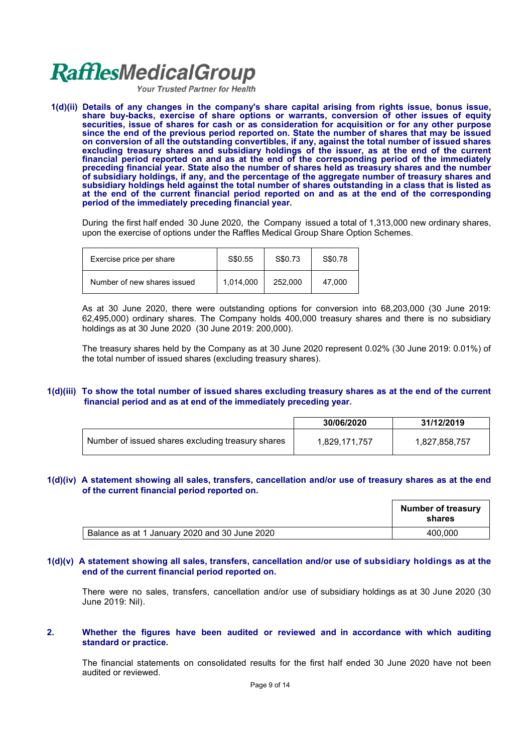Your Trusted Partner for Health

**1(d)(ii) Details of any changes in the company's share capital arising from rights issue, bonus issue, share buy-backs, exercise of share options or warrants, conversion of other issues of equity securities, issue of shares for cash or as consideration for acquisition or for any other purpose since the end of the previous period reported on. State the number of shares that may be issued on conversion of all the outstanding convertibles, if any, against the total number of issued shares excluding treasury shares and subsidiary holdings of the issuer, as at the end of the current financial period reported on and as at the end of the corresponding period of the immediately preceding financial year. State also the number of shares held as treasury shares and the number of subsidiary holdings, if any, and the percentage of the aggregate number of treasury shares and subsidiary holdings held against the total number of shares outstanding in a class that is listed as at the end of the current financial period reported on and as at the end of the corresponding period of the immediately preceding financial year.**

During the first half ended 30 June 2020, the Company issued a total of 1,313,000 new ordinary shares, upon the exercise of options under the Raffles Medical Group Share Option Schemes.

| Exercise price per share    | S\$0.55   | S\$0.73 | S\$0.78 |
|-----------------------------|-----------|---------|---------|
| Number of new shares issued | 1,014,000 | 252,000 | 47.000  |

As at 30 June 2020, there were outstanding options for conversion into 68,203,000 (30 June 2019: 62,495,000) ordinary shares. The Company holds 400,000 treasury shares and there is no subsidiary holdings as at 30 June 2020 (30 June 2019: 200,000).

The treasury shares held by the Company as at 30 June 2020 represent 0.02% (30 June 2019: 0.01%) of the total number of issued shares (excluding treasury shares).

#### **1(d)(iii) To show the total number of issued shares excluding treasury shares as at the end of the current financial period and as at end of the immediately preceding year.**

|                                                   | 30/06/2020    | 31/12/2019    |
|---------------------------------------------------|---------------|---------------|
| Number of issued shares excluding treasury shares | 1,829,171,757 | 1,827,858,757 |

#### **1(d)(iv) A statement showing all sales, transfers, cancellation and/or use of treasury shares as at the end of the current financial period reported on.**

|                                               | <b>Number of treasury</b><br>shares |
|-----------------------------------------------|-------------------------------------|
| Balance as at 1 January 2020 and 30 June 2020 | 400.000                             |

#### **1(d)(v) A statement showing all sales, transfers, cancellation and/or use of subsidiary holdings as at the end of the current financial period reported on.**

There were no sales, transfers, cancellation and/or use of subsidiary holdings as at 30 June 2020 (30 June 2019: Nil).

#### **2. Whether the figures have been audited or reviewed and in accordance with which auditing standard or practice.**

The financial statements on consolidated results for the first half ended 30 June 2020 have not been audited or reviewed.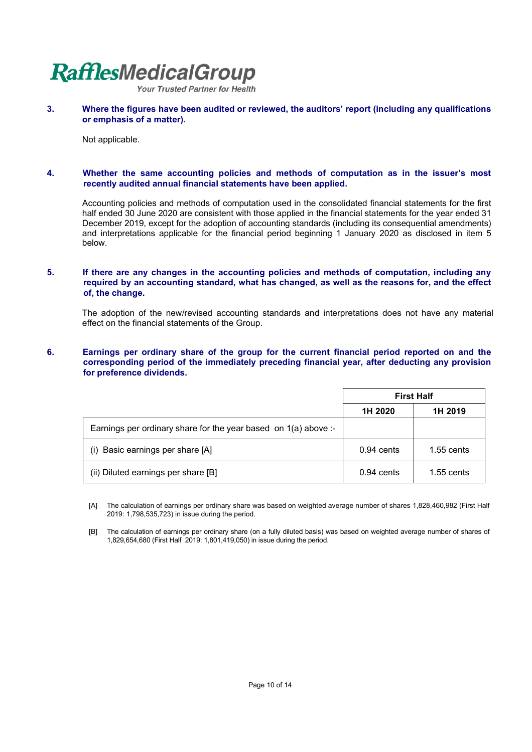Your Trusted Partner for Health

**3. Where the figures have been audited or reviewed, the auditors' report (including any qualifications or emphasis of a matter).**

Not applicable.

#### **4. Whether the same accounting policies and methods of computation as in the issuer's most recently audited annual financial statements have been applied.**

Accounting policies and methods of computation used in the consolidated financial statements for the first half ended 30 June 2020 are consistent with those applied in the financial statements for the year ended 31 December 2019, except for the adoption of accounting standards (including its consequential amendments) and interpretations applicable for the financial period beginning 1 January 2020 as disclosed in item 5 below.

#### **5. If there are any changes in the accounting policies and methods of computation, including any required by an accounting standard, what has changed, as well as the reasons for, and the effect of, the change.**

The adoption of the new/revised accounting standards and interpretations does not have any material effect on the financial statements of the Group.

#### **6. Earnings per ordinary share of the group for the current financial period reported on and the corresponding period of the immediately preceding financial year, after deducting any provision for preference dividends.**

|                                                                   | <b>First Half</b> |              |
|-------------------------------------------------------------------|-------------------|--------------|
|                                                                   | 1H 2020           | 1H 2019      |
| Earnings per ordinary share for the year based on $1(a)$ above :- |                   |              |
| (i) Basic earnings per share [A]                                  | $0.94$ cents      | 1.55 cents   |
| (ii) Diluted earnings per share [B]                               | $0.94$ cents      | $1.55$ cents |

 [A] The calculation of earnings per ordinary share was based on weighted average number of shares 1,828,460,982 (First Half 2019: 1,798,535,723) in issue during the period.

 [B] The calculation of earnings per ordinary share (on a fully diluted basis) was based on weighted average number of shares of 1,829,654,680 (First Half 2019: 1,801,419,050) in issue during the period.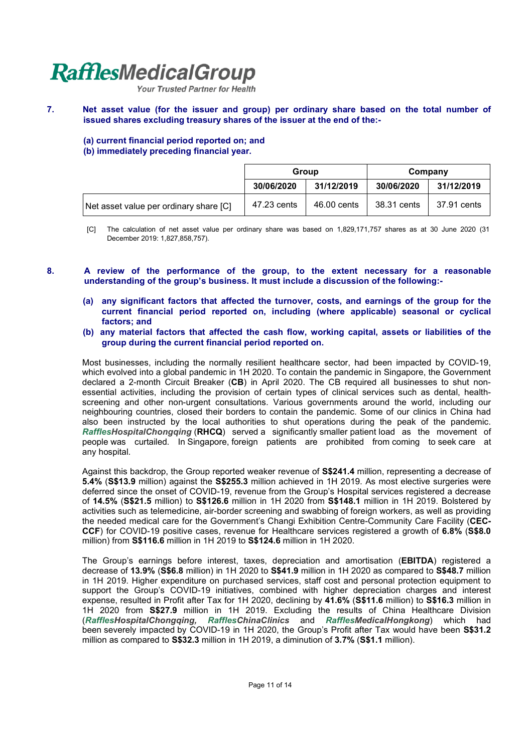Your Trusted Partner for Health

#### **7. Net asset value (for the issuer and group) per ordinary share based on the total number of issued shares excluding treasury shares of the issuer at the end of the:-**

**(a) current financial period reported on; and**

#### **(b) immediately preceding financial year.**

|                                        | Group       |             | Company     |             |
|----------------------------------------|-------------|-------------|-------------|-------------|
|                                        | 30/06/2020  | 31/12/2019  | 30/06/2020  | 31/12/2019  |
| Net asset value per ordinary share [C] | 47.23 cents | 46.00 cents | 38.31 cents | 37.91 cents |

[C] The calculation of net asset value per ordinary share was based on 1,829,171,757 shares as at 30 June 2020 (31 December 2019: 1,827,858,757).

#### **8. A review of the performance of the group, to the extent necessary for a reasonable understanding of the group's business. It must include a discussion of the following:-**

- **(a) any significant factors that affected the turnover, costs, and earnings of the group for the current financial period reported on, including (where applicable) seasonal or cyclical factors; and**
- **(b) any material factors that affected the cash flow, working capital, assets or liabilities of the group during the current financial period reported on.**

Most businesses, including the normally resilient healthcare sector, had been impacted by COVID-19, which evolved into a global pandemic in 1H 2020. To contain the pandemic in Singapore, the Government declared a 2-month Circuit Breaker (**CB**) in April 2020. The CB required all businesses to shut nonessential activities, including the provision of certain types of clinical services such as dental, healthscreening and other non-urgent consultations. Various governments around the world, including our neighbouring countries, closed their borders to contain the pandemic. Some of our clinics in China had also been instructed by the local authorities to shut operations during the peak of the pandemic. *RafflesHospitalChongqing* (**RHCQ**) served a significantly smaller patient load as the movement of people was curtailed. In Singapore, foreign patients are prohibited from coming to seek care at any hospital.

Against this backdrop, the Group reported weaker revenue of **S\$241.4** million, representing a decrease of **5.4%** (**S\$13.9** million) against the **S\$255.3** million achieved in 1H 2019. As most elective surgeries were deferred since the onset of COVID-19, revenue from the Group's Hospital services registered a decrease of **14.5%** (**S\$21.5** million) to **S\$126.6** million in 1H 2020 from **S\$148.1** million in 1H 2019. Bolstered by activities such as telemedicine, air-border screening and swabbing of foreign workers, as well as providing the needed medical care for the Government's Changi Exhibition Centre-Community Care Facility (**CEC-CCF**) for COVID-19 positive cases, revenue for Healthcare services registered a growth of **6.8%** (**S\$8.0** million) from **S\$116.6** million in 1H 2019 to **S\$124.6** million in 1H 2020.

The Group's earnings before interest, taxes, depreciation and amortisation (**EBITDA**) registered a decrease of **13.9%** (**S\$6.8** million) in 1H 2020 to **S\$41.9** million in 1H 2020 as compared to **S\$48.7** million in 1H 2019. Higher expenditure on purchased services, staff cost and personal protection equipment to support the Group's COVID-19 initiatives, combined with higher depreciation charges and interest expense, resulted in Profit after Tax for 1H 2020, declining by **41.6%** (**S\$11.6** million) to **S\$16.3** million in 1H 2020 from **S\$27.9** million in 1H 2019. Excluding the results of China Healthcare Division (*RafflesHospitalChongqing, RafflesChinaClinics* and *RafflesMedicalHongkong*) which had been severely impacted by COVID-19 in 1H 2020, the Group's Profit after Tax would have been **S\$31.2** million as compared to **S\$32.3** million in 1H 2019, a diminution of **3.7%** (**S\$1.1** million).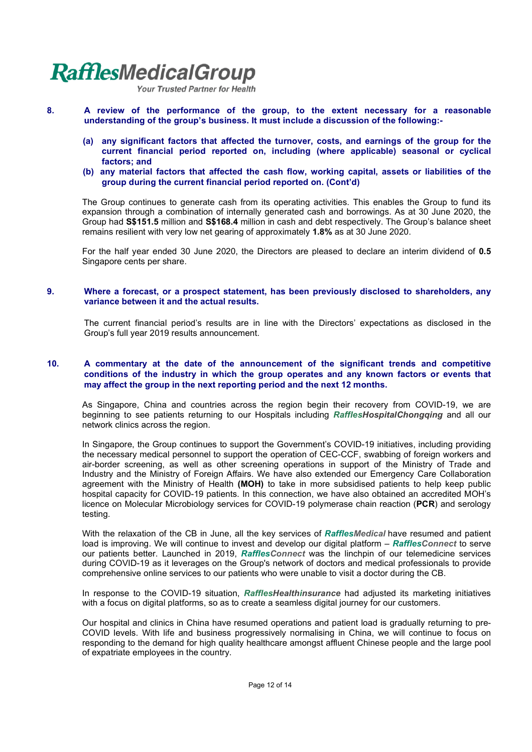Your Trusted Partner for Health

- **8. A review of the performance of the group, to the extent necessary for a reasonable understanding of the group's business. It must include a discussion of the following:-**
	- **(a) any significant factors that affected the turnover, costs, and earnings of the group for the current financial period reported on, including (where applicable) seasonal or cyclical factors; and**
	- **(b) any material factors that affected the cash flow, working capital, assets or liabilities of the group during the current financial period reported on. (Cont'd)**

The Group continues to generate cash from its operating activities. This enables the Group to fund its expansion through a combination of internally generated cash and borrowings. As at 30 June 2020, the Group had **S\$151.5** million and **S\$168.4** million in cash and debt respectively. The Group's balance sheet remains resilient with very low net gearing of approximately **1.8%** as at 30 June 2020.

For the half year ended 30 June 2020, the Directors are pleased to declare an interim dividend of **0.5**  Singapore cents per share.

#### **9. Where a forecast, or a prospect statement, has been previously disclosed to shareholders, any variance between it and the actual results.**

The current financial period's results are in line with the Directors' expectations as disclosed in the Group's full year 2019 results announcement.

#### **10. A commentary at the date of the announcement of the significant trends and competitive conditions of the industry in which the group operates and any known factors or events that may affect the group in the next reporting period and the next 12 months.**

As Singapore, China and countries across the region begin their recovery from COVID-19, we are beginning to see patients returning to our Hospitals including *RafflesHospitalChongqing* and all our network clinics across the region.

In Singapore, the Group continues to support the Government's COVID-19 initiatives, including providing the necessary medical personnel to support the operation of CEC-CCF, swabbing of foreign workers and air-border screening, as well as other screening operations in support of the Ministry of Trade and Industry and the Ministry of Foreign Affairs. We have also extended our Emergency Care Collaboration agreement with the Ministry of Health **(MOH)** to take in more subsidised patients to help keep public hospital capacity for COVID-19 patients. In this connection, we have also obtained an accredited MOH's licence on Molecular Microbiology services for COVID-19 polymerase chain reaction (**PCR**) and serology testing.

With the relaxation of the CB in June, all the key services of *RafflesMedical* have resumed and patient load is improving. We will continue to invest and develop our digital platform – *RafflesConnect* to serve our patients better. Launched in 2019, *RafflesConnect* was the linchpin of our telemedicine services during COVID-19 as it leverages on the Group's network of doctors and medical professionals to provide comprehensive online services to our patients who were unable to visit a doctor during the CB.

In response to the COVID-19 situation, *RafflesHealthinsurance* had adjusted its marketing initiatives with a focus on digital platforms, so as to create a seamless digital journey for our customers.

Our hospital and clinics in China have resumed operations and patient load is gradually returning to pre-COVID levels. With life and business progressively normalising in China, we will continue to focus on responding to the demand for high quality healthcare amongst affluent Chinese people and the large pool of expatriate employees in the country.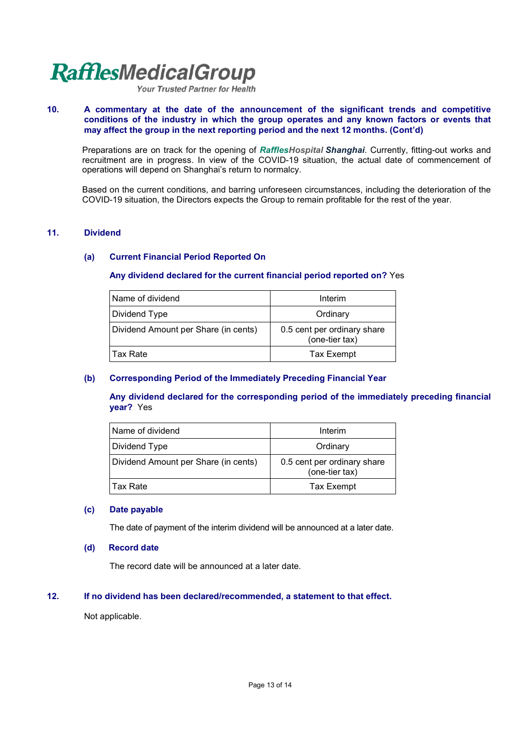Your Trusted Partner for Health

#### **10. A commentary at the date of the announcement of the significant trends and competitive conditions of the industry in which the group operates and any known factors or events that may affect the group in the next reporting period and the next 12 months. (Cont'd)**

Preparations are on track for the opening of *RafflesHospital Shanghai*. Currently, fitting-out works and recruitment are in progress. In view of the COVID-19 situation, the actual date of commencement of operations will depend on Shanghai's return to normalcy.

Based on the current conditions, and barring unforeseen circumstances, including the deterioration of the COVID-19 situation, the Directors expects the Group to remain profitable for the rest of the year.

#### **11. Dividend**

#### **(a) Current Financial Period Reported On**

#### **Any dividend declared for the current financial period reported on?** Yes

| Name of dividend                     | Interim                                       |
|--------------------------------------|-----------------------------------------------|
| Dividend Type                        | Ordinary                                      |
| Dividend Amount per Share (in cents) | 0.5 cent per ordinary share<br>(one-tier tax) |
| l Tax Rate                           | <b>Tax Exempt</b>                             |

#### **(b) Corresponding Period of the Immediately Preceding Financial Year**

**Any dividend declared for the corresponding period of the immediately preceding financial year?** Yes

| l Name of dividend                   | Interim                                       |
|--------------------------------------|-----------------------------------------------|
| Dividend Type                        | Ordinary                                      |
| Dividend Amount per Share (in cents) | 0.5 cent per ordinary share<br>(one-tier tax) |
| l Tax Rate                           | <b>Tax Exempt</b>                             |

#### **(c) Date payable**

The date of payment of the interim dividend will be announced at a later date.

#### **(d) Record date**

The record date will be announced at a later date.

#### **12. If no dividend has been declared/recommended, a statement to that effect.**

Not applicable.